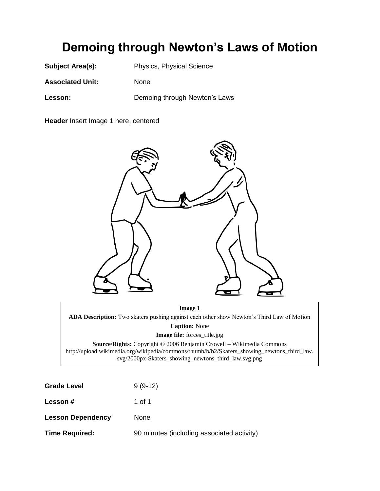# **Demoing through Newton's Laws of Motion**

**Subject Area(s):** Physics, Physical Science

**Associated Unit:** None

Lesson: Demoing through Newton's Laws

**Header** Insert Image 1 here, centered



**Image 1 ADA Description:** Two skaters pushing against each other show Newton's Third Law of Motion **Caption:** None **Image file:** forces\_title.jpg **Source/Rights:** Copyright © 2006 Benjamin Crowell – Wikimedia Commons http://upload.wikimedia.org/wikipedia/commons/thumb/b/b2/Skaters\_showing\_newtons\_third\_law. svg/2000px-Skaters\_showing\_newtons\_third\_law.svg.png

| <b>Grade Level</b>       | $9(9-12)$                                  |
|--------------------------|--------------------------------------------|
| <b>Lesson#</b>           | 1 of 1                                     |
| <b>Lesson Dependency</b> | None                                       |
| <b>Time Required:</b>    | 90 minutes (including associated activity) |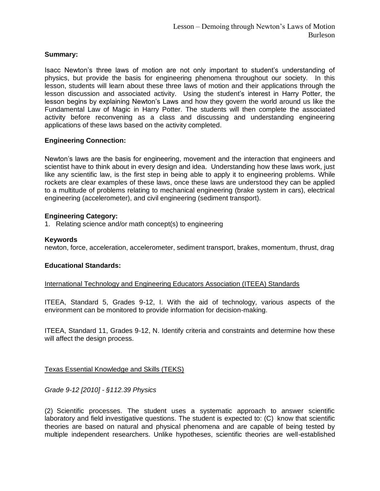# **Summary:**

Isacc Newton's three laws of motion are not only important to student's understanding of physics, but provide the basis for engineering phenomena throughout our society. In this lesson, students will learn about these three laws of motion and their applications through the lesson discussion and associated activity. Using the student's interest in Harry Potter, the lesson begins by explaining Newton's Laws and how they govern the world around us like the Fundamental Law of Magic in Harry Potter. The students will then complete the associated activity before reconvening as a class and discussing and understanding engineering applications of these laws based on the activity completed.

# **Engineering Connection:**

Newton's laws are the basis for engineering, movement and the interaction that engineers and scientist have to think about in every design and idea. Understanding how these laws work, just like any scientific law, is the first step in being able to apply it to engineering problems. While rockets are clear examples of these laws, once these laws are understood they can be applied to a multitude of problems relating to mechanical engineering (brake system in cars), electrical engineering (accelerometer), and civil engineering (sediment transport).

# **Engineering Category:**

1. Relating science and/or math concept(s) to engineering

# **Keywords**

newton, force, acceleration, accelerometer, sediment transport, brakes, momentum, thrust, drag

### **Educational Standards:**

### International Technology and Engineering Educators Association (ITEEA) Standards

ITEEA, Standard 5, Grades 9-12, I. With the aid of technology, various aspects of the environment can be monitored to provide information for decision-making.

ITEEA, Standard 11, Grades 9-12, N. Identify criteria and constraints and determine how these will affect the design process.

Texas Essential Knowledge and Skills (TEKS)

*Grade 9-12 [2010] - §112.39 Physics*

(2) Scientific processes. The student uses a systematic approach to answer scientific laboratory and field investigative questions. The student is expected to: (C) know that scientific theories are based on natural and physical phenomena and are capable of being tested by multiple independent researchers. Unlike hypotheses, scientific theories are well-established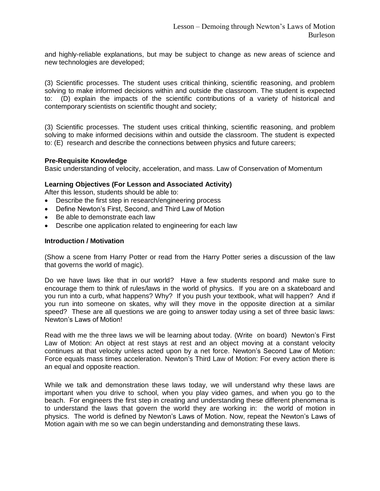and highly-reliable explanations, but may be subject to change as new areas of science and new technologies are developed;

(3) Scientific processes. The student uses critical thinking, scientific reasoning, and problem solving to make informed decisions within and outside the classroom. The student is expected to: (D) explain the impacts of the scientific contributions of a variety of historical and contemporary scientists on scientific thought and society;

(3) Scientific processes. The student uses critical thinking, scientific reasoning, and problem solving to make informed decisions within and outside the classroom. The student is expected to: (E) research and describe the connections between physics and future careers;

# **Pre-Requisite Knowledge**

Basic understanding of velocity, acceleration, and mass. Law of Conservation of Momentum

### **Learning Objectives (For Lesson and Associated Activity)**

After this lesson, students should be able to:

- Describe the first step in research/engineering process
- Define Newton's First, Second, and Third Law of Motion
- Be able to demonstrate each law
- Describe one application related to engineering for each law

### **Introduction / Motivation**

(Show a scene from Harry Potter or read from the Harry Potter series a discussion of the law that governs the world of magic).

Do we have laws like that in our world? Have a few students respond and make sure to encourage them to think of rules/laws in the world of physics. If you are on a skateboard and you run into a curb, what happens? Why? If you push your textbook, what will happen? And if you run into someone on skates, why will they move in the opposite direction at a similar speed? These are all questions we are going to answer today using a set of three basic laws: Newton's Laws of Motion!

Read with me the three laws we will be learning about today. (Write on board) Newton's First Law of Motion: An object at rest stays at rest and an object moving at a constant velocity continues at that velocity unless acted upon by a net force. Newton's Second Law of Motion: Force equals mass times acceleration. Newton's Third Law of Motion: For every action there is an equal and opposite reaction.

While we talk and demonstration these laws today, we will understand why these laws are important when you drive to school, when you play video games, and when you go to the beach. For engineers the first step in creating and understanding these different phenomena is to understand the laws that govern the world they are working in: the world of motion in physics. The world is defined by Newton's Laws of Motion. Now, repeat the Newton's Laws of Motion again with me so we can begin understanding and demonstrating these laws.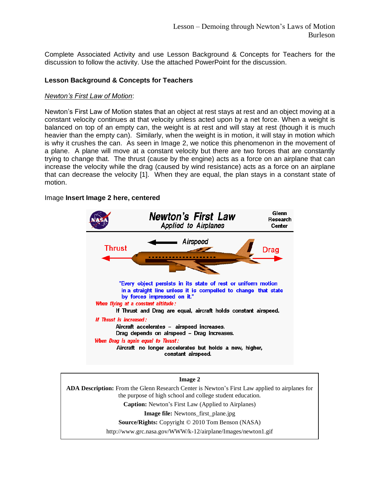Complete Associated Activity and use Lesson Background & Concepts for Teachers for the discussion to follow the activity. Use the attached PowerPoint for the discussion.

# **Lesson Background & Concepts for Teachers**

### *Newton's First Law of Motion*:

Newton's First Law of Motion states that an object at rest stays at rest and an object moving at a constant velocity continues at that velocity unless acted upon by a net force. When a weight is balanced on top of an empty can, the weight is at rest and will stay at rest (though it is much heavier than the empty can). Similarly, when the weight is in motion, it will stay in motion which is why it crushes the can. As seen in Image 2, we notice this phenomenon in the movement of a plane. A plane will move at a constant velocity but there are two forces that are constantly trying to change that. The thrust (cause by the engine) acts as a force on an airplane that can increase the velocity while the drag (caused by wind resistance) acts as a force on an airplane that can decrease the velocity [1]. When they are equal, the plan stays in a constant state of motion.

### Image **Insert Image 2 here, centered**



**Image 2**

**ADA Description:** From the Glenn Research Center is Newton's First Law applied to airplanes for the purpose of high school and college student education. **Caption:** Newton's First Law (Applied to Airplanes) **Image file:** Newtons\_first\_plane.jpg

**Source/Rights:** Copyright © 2010 Tom Benson (NASA)

http://www.grc.nasa.gov/WWW/k-12/airplane/Images/newton1.gif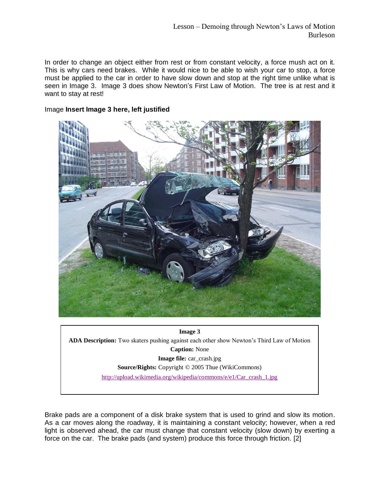In order to change an object either from rest or from constant velocity, a force mush act on it. This is why cars need brakes. While it would nice to be able to wish your car to stop, a force must be applied to the car in order to have slow down and stop at the right time unlike what is seen in Image 3. Image 3 does show Newton's First Law of Motion. The tree is at rest and it want to stay at rest!

# Image **Insert Image 3 here, left justified**



**Image 3 ADA Description:** Two skaters pushing against each other show Newton's Third Law of Motion **Caption:** None **Image file:** car\_crash.jpg **Source/Rights:** Copyright © 2005 Thue (WikiCommons) [http://upload.wikimedia.org/wikipedia/commons/e/e1/Car\\_crash\\_1.jpg](http://upload.wikimedia.org/wikipedia/commons/e/e1/Car_crash_1.jpg)

Brake pads are a component of a disk brake system that is used to grind and slow its motion. As a car moves along the roadway, it is maintaining a constant velocity; however, when a red light is observed ahead, the car must change that constant velocity (slow down) by exerting a force on the car. The brake pads (and system) produce this force through friction. [2]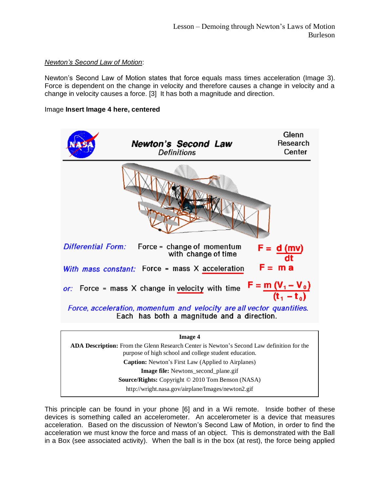# *Newton's Second Law of Motion*:

Newton's Second Law of Motion states that force equals mass times acceleration (Image 3). Force is dependent on the change in velocity and therefore causes a change in velocity and a change in velocity causes a force. [3] It has both a magnitude and direction.

# Image **Insert Image 4 here, centered**



| <b>Image 4</b>                                                                                                                                            |  |  |
|-----------------------------------------------------------------------------------------------------------------------------------------------------------|--|--|
| <b>ADA Description:</b> From the Glenn Research Center is Newton's Second Law definition for the<br>purpose of high school and college student education. |  |  |
| <b>Caption:</b> Newton's First Law (Applied to Airplanes)                                                                                                 |  |  |
| <b>Image file:</b> Newtons_second_plane.gif                                                                                                               |  |  |
| <b>Source/Rights:</b> Copyright © 2010 Tom Benson (NASA)                                                                                                  |  |  |
| http://wright.nasa.gov/airplane/Images/newton2.gif                                                                                                        |  |  |

This principle can be found in your phone [6] and in a Wii remote. Inside bother of these devices is something called an accelerometer. An accelerometer is a device that measures acceleration. Based on the discussion of Newton's Second Law of Motion, in order to find the acceleration we must know the force and mass of an object. This is demonstrated with the Ball in a Box (see associated activity). When the ball is in the box (at rest), the force being applied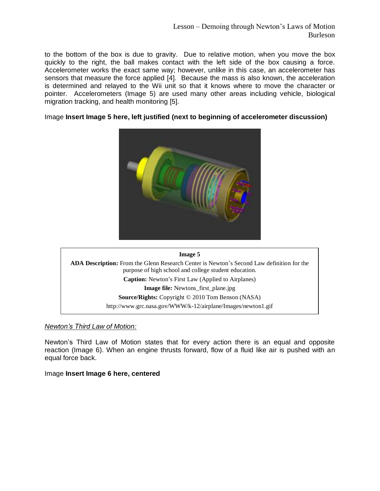to the bottom of the box is due to gravity. Due to relative motion, when you move the box quickly to the right, the ball makes contact with the left side of the box causing a force. Accelerometer works the exact same way; however, unlike in this case, an accelerometer has sensors that measure the force applied [4]. Because the mass is also known, the acceleration is determined and relayed to the Wii unit so that it knows where to move the character or pointer. Accelerometers (Image 5) are used many other areas including vehicle, biological migration tracking, and health monitoring [5].

# Image **Insert Image 5 here, left justified (next to beginning of accelerometer discussion)**



# **Image 5 ADA Description:** From the Glenn Research Center is Newton's Second Law definition for the purpose of high school and college student education. **Caption:** Newton's First Law (Applied to Airplanes) **Image file:** Newtons first plane.jpg **Source/Rights:** Copyright © 2010 Tom Benson (NASA) http://www.grc.nasa.gov/WWW/k-12/airplane/Images/newton1.gif

#### *Newton's Third Law of Motion:*

Newton's Third Law of Motion states that for every action there is an equal and opposite reaction (Image 6). When an engine thrusts forward, flow of a fluid like air is pushed with an equal force back.

### Image **Insert Image 6 here, centered**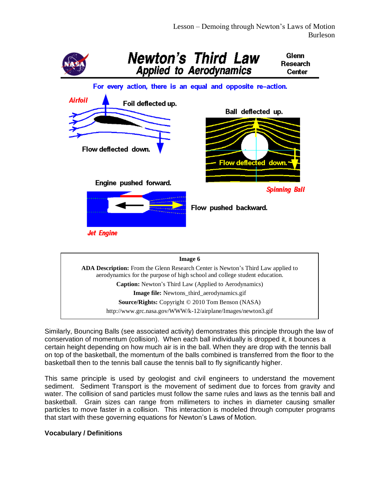

Similarly, Bouncing Balls (see associated activity) demonstrates this principle through the law of conservation of momentum (collision). When each ball individually is dropped it, it bounces a certain height depending on how much air is in the ball. When they are drop with the tennis ball on top of the basketball, the momentum of the balls combined is transferred from the floor to the basketball then to the tennis ball cause the tennis ball to fly significantly higher.

This same principle is used by geologist and civil engineers to understand the movement sediment. Sediment Transport is the movement of sediment due to forces from gravity and water. The collision of sand particles must follow the same rules and laws as the tennis ball and basketball. Grain sizes can range from millimeters to inches in diameter causing smaller particles to move faster in a collision. This interaction is modeled through computer programs that start with these governing equations for Newton's Laws of Motion.

# **Vocabulary / Definitions**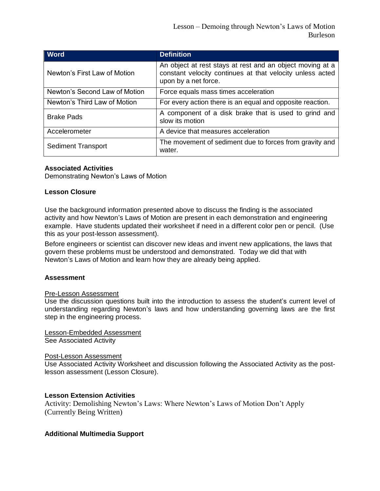| <b>Word</b>                   | <b>Definition</b>                                                                                                                              |
|-------------------------------|------------------------------------------------------------------------------------------------------------------------------------------------|
| Newton's First Law of Motion  | An object at rest stays at rest and an object moving at a<br>constant velocity continues at that velocity unless acted<br>upon by a net force. |
| Newton's Second Law of Motion | Force equals mass times acceleration                                                                                                           |
| Newton's Third Law of Motion  | For every action there is an equal and opposite reaction.                                                                                      |
| <b>Brake Pads</b>             | A component of a disk brake that is used to grind and<br>slow its motion                                                                       |
| Accelerometer                 | A device that measures acceleration                                                                                                            |
| <b>Sediment Transport</b>     | The movement of sediment due to forces from gravity and<br>water.                                                                              |

# **Associated Activities**

Demonstrating Newton's Laws of Motion

# **Lesson Closure**

Use the background information presented above to discuss the finding is the associated activity and how Newton's Laws of Motion are present in each demonstration and engineering example. Have students updated their worksheet if need in a different color pen or pencil. (Use this as your post-lesson assessment).

Before engineers or scientist can discover new ideas and invent new applications, the laws that govern these problems must be understood and demonstrated. Today we did that with Newton's Laws of Motion and learn how they are already being applied.

### **Assessment**

### Pre-Lesson Assessment

Use the discussion questions built into the introduction to assess the student's current level of understanding regarding Newton's laws and how understanding governing laws are the first step in the engineering process.

Lesson-Embedded Assessment See Associated Activity

### Post-Lesson Assessment

Use Associated Activity Worksheet and discussion following the Associated Activity as the postlesson assessment (Lesson Closure).

### **Lesson Extension Activities**

Activity: Demolishing Newton's Laws: Where Newton's Laws of Motion Don't Apply (Currently Being Written)

### **Additional Multimedia Support**